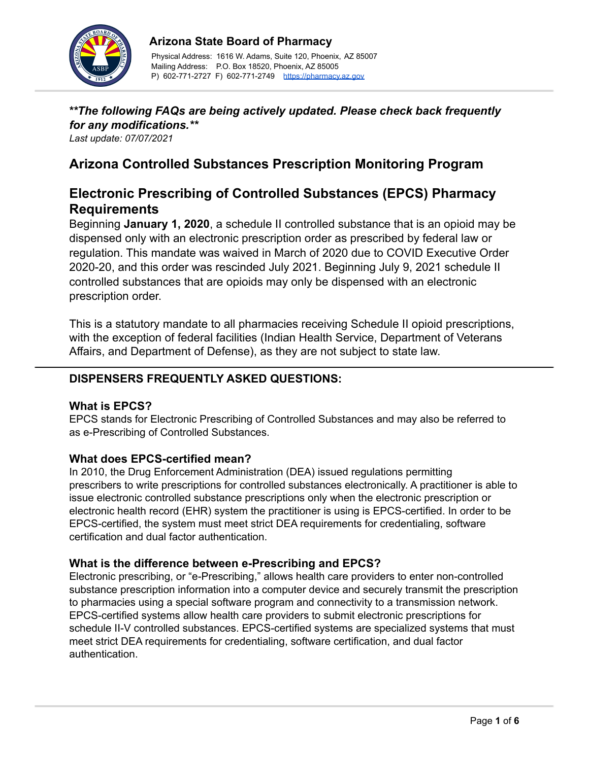

### *\*\*The following FAQs are being actively updated. Please check back frequently for any modifications.\*\* Last update: 07/07/2021*

# **Arizona Controlled Substances Prescription Monitoring Program**

# **Electronic Prescribing of Controlled Substances (EPCS) Pharmacy Requirements**

Beginning **January 1, 2020**, a schedule II controlled substance that is an opioid may be dispensed only with an electronic prescription order as prescribed by federal law or regulation. This mandate was waived in March of 2020 due to COVID Executive Order 2020-20, and this order was rescinded July 2021. Beginning July 9, 2021 schedule II controlled substances that are opioids may only be dispensed with an electronic prescription order.

This is a statutory mandate to all pharmacies receiving Schedule II opioid prescriptions, with the exception of federal facilities (Indian Health Service, Department of Veterans Affairs, and Department of Defense), as they are not subject to state law.

## **DISPENSERS FREQUENTLY ASKED QUESTIONS:**

#### **What is EPCS?**

EPCS stands for Electronic Prescribing of Controlled Substances and may also be referred to as e-Prescribing of Controlled Substances.

### **What does EPCS-certified mean?**

In 2010, the Drug Enforcement Administration (DEA) issued regulations permitting prescribers to write prescriptions for controlled substances electronically. A practitioner is able to issue electronic controlled substance prescriptions only when the electronic prescription or electronic health record (EHR) system the practitioner is using is EPCS-certified. In order to be EPCS-certified, the system must meet strict DEA requirements for credentialing, software certification and dual factor authentication.

### **What is the difference between e-Prescribing and EPCS?**

Electronic prescribing, or "e-Prescribing," allows health care providers to enter non-controlled substance prescription information into a computer device and securely transmit the prescription to pharmacies using a special software program and connectivity to a transmission network. EPCS-certified systems allow health care providers to submit electronic prescriptions for schedule II-V controlled substances. EPCS-certified systems are specialized systems that must meet strict DEA requirements for credentialing, software certification, and dual factor authentication.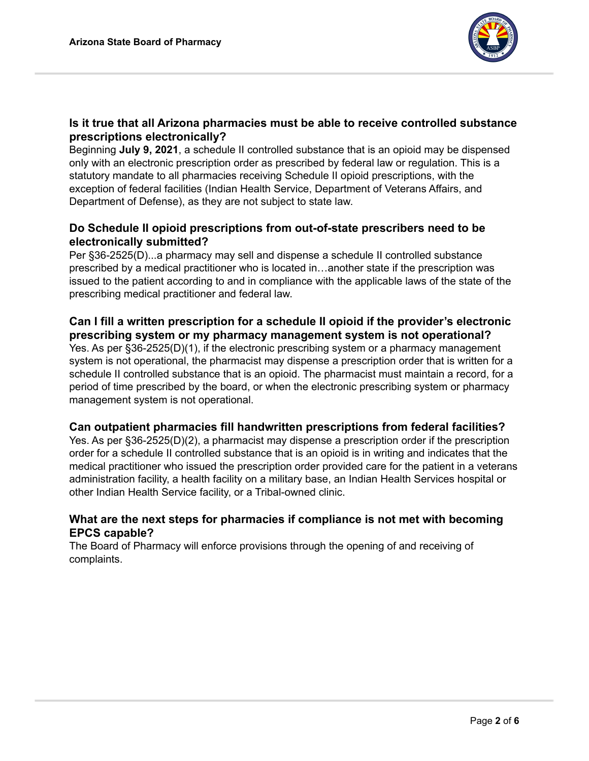

#### **Is it true that all Arizona pharmacies must be able to receive controlled substance prescriptions electronically?**

Beginning **July 9, 2021**, a schedule II controlled substance that is an opioid may be dispensed only with an electronic prescription order as prescribed by federal law or regulation. This is a statutory mandate to all pharmacies receiving Schedule II opioid prescriptions, with the exception of federal facilities (Indian Health Service, Department of Veterans Affairs, and Department of Defense), as they are not subject to state law.

### **Do Schedule II opioid prescriptions from out-of-state prescribers need to be electronically submitted?**

Per §36-2525(D)...a pharmacy may sell and dispense a schedule II controlled substance prescribed by a medical practitioner who is located in…another state if the prescription was issued to the patient according to and in compliance with the applicable laws of the state of the prescribing medical practitioner and federal law.

## **Can I fill a written prescription for a schedule II opioid if the provider's electronic prescribing system or my pharmacy management system is not operational?**

Yes. As per §36-2525(D)(1), if the electronic prescribing system or a pharmacy management system is not operational, the pharmacist may dispense a prescription order that is written for a schedule II controlled substance that is an opioid. The pharmacist must maintain a record, for a period of time prescribed by the board, or when the electronic prescribing system or pharmacy management system is not operational.

### **Can outpatient pharmacies fill handwritten prescriptions from federal facilities?**

Yes. As per §36-2525(D)(2), a pharmacist may dispense a prescription order if the prescription order for a schedule II controlled substance that is an opioid is in writing and indicates that the medical practitioner who issued the prescription order provided care for the patient in a veterans administration facility, a health facility on a military base, an Indian Health Services hospital or other Indian Health Service facility, or a Tribal-owned clinic.

### **What are the next steps for pharmacies if compliance is not met with becoming EPCS capable?**

The Board of Pharmacy will enforce provisions through the opening of and receiving of complaints.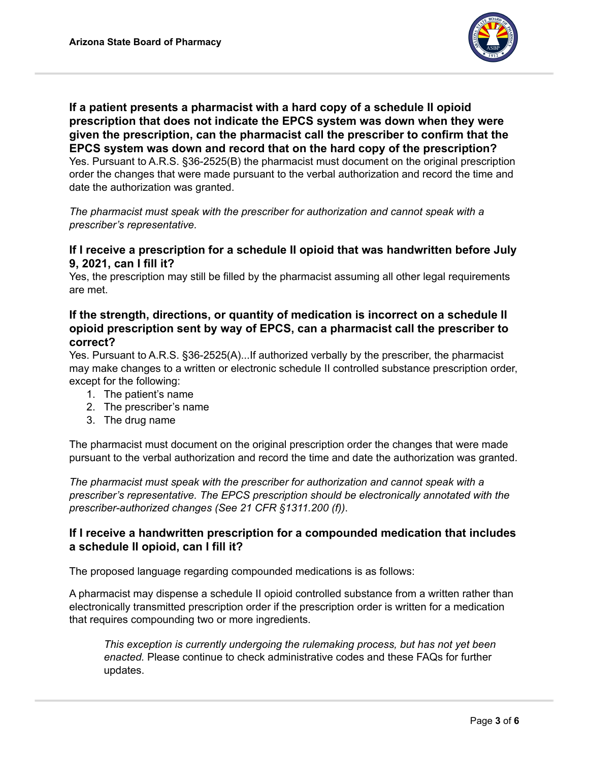

**If a patient presents a pharmacist with a hard copy of a schedule II opioid prescription that does not indicate the EPCS system was down when they were given the prescription, can the pharmacist call the prescriber to confirm that the EPCS system was down and record that on the hard copy of the prescription?** Yes. Pursuant to A.R.S. §36-2525(B) the pharmacist must document on the original prescription order the changes that were made pursuant to the verbal authorization and record the time and date the authorization was granted.

*The pharmacist must speak with the prescriber for authorization and cannot speak with a prescriber's representative.*

### **If I receive a prescription for a schedule II opioid that was handwritten before July 9, 2021, can I fill it?**

Yes, the prescription may still be filled by the pharmacist assuming all other legal requirements are met.

### **If the strength, directions, or quantity of medication is incorrect on a schedule II opioid prescription sent by way of EPCS, can a pharmacist call the prescriber to correct?**

Yes. Pursuant to A.R.S. §36-2525(A)...If authorized verbally by the prescriber, the pharmacist may make changes to a written or electronic schedule II controlled substance prescription order, except for the following:

- 1. The patient's name
- 2. The prescriber's name
- 3. The drug name

The pharmacist must document on the original prescription order the changes that were made pursuant to the verbal authorization and record the time and date the authorization was granted.

*The pharmacist must speak with the prescriber for authorization and cannot speak with a prescriber's representative. The EPCS prescription should be electronically annotated with the prescriber-authorized changes (See 21 CFR §1311.200 (f))*.

### **If I receive a handwritten prescription for a compounded medication that includes a schedule II opioid, can I fill it?**

The proposed language regarding compounded medications is as follows:

A pharmacist may dispense a schedule II opioid controlled substance from a written rather than electronically transmitted prescription order if the prescription order is written for a medication that requires compounding two or more ingredients.

*This exception is currently undergoing the rulemaking process, but has not yet been enacted.* Please continue to check administrative codes and these FAQs for further updates.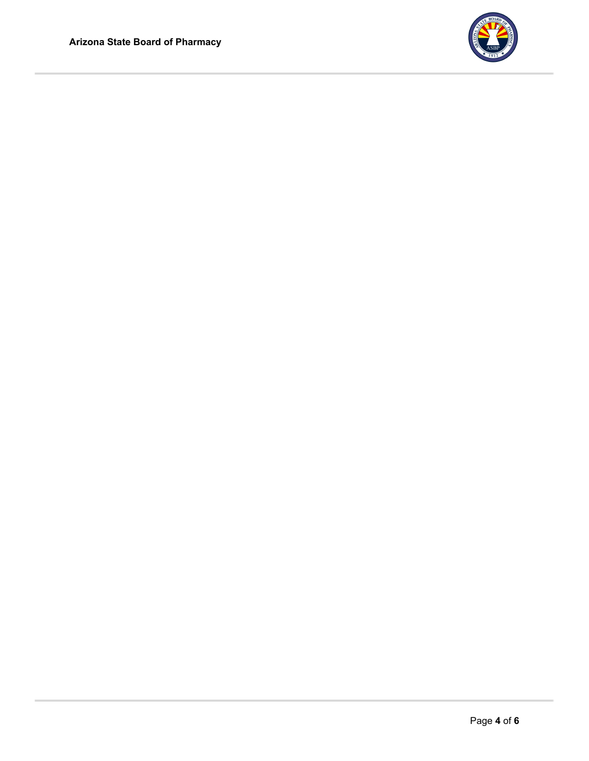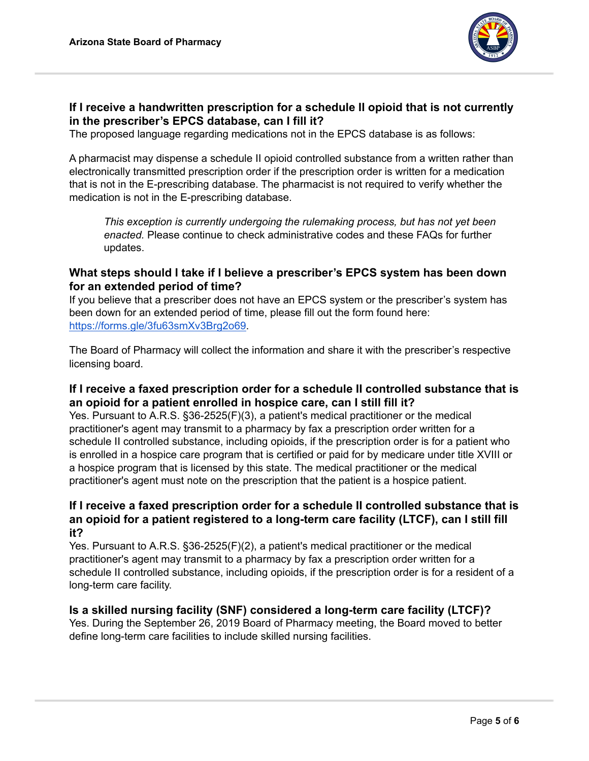

## **If I receive a handwritten prescription for a schedule II opioid that is not currently in the prescriber's EPCS database, can I fill it?**

The proposed language regarding medications not in the EPCS database is as follows:

A pharmacist may dispense a schedule II opioid controlled substance from a written rather than electronically transmitted prescription order if the prescription order is written for a medication that is not in the E-prescribing database. The pharmacist is not required to verify whether the medication is not in the E-prescribing database.

*This exception is currently undergoing the rulemaking process, but has not yet been enacted.* Please continue to check administrative codes and these FAQs for further updates.

#### **What steps should I take if I believe a prescriber's EPCS system has been down for an extended period of time?**

If you believe that a prescriber does not have an EPCS system or the prescriber's system has been down for an extended period of time, please fill out the form found here: [https://forms.gle/3fu63smXv3Brg2o69.](https://forms.gle/3fu63smXv3Brg2o69)

The Board of Pharmacy will collect the information and share it with the prescriber's respective licensing board.

## **If I receive a faxed prescription order for a schedule II controlled substance that is an opioid for a patient enrolled in hospice care, can I still fill it?**

Yes. Pursuant to A.R.S. §36-2525(F)(3), a patient's medical practitioner or the medical practitioner's agent may transmit to a pharmacy by fax a prescription order written for a schedule II controlled substance, including opioids, if the prescription order is for a patient who is enrolled in a hospice care program that is certified or paid for by medicare under title XVIII or a hospice program that is licensed by this state. The medical practitioner or the medical practitioner's agent must note on the prescription that the patient is a hospice patient.

#### **If I receive a faxed prescription order for a schedule II controlled substance that is an opioid for a patient registered to a long-term care facility (LTCF), can I still fill it?**

Yes. Pursuant to A.R.S. §36-2525(F)(2), a patient's medical practitioner or the medical practitioner's agent may transmit to a pharmacy by fax a prescription order written for a schedule II controlled substance, including opioids, if the prescription order is for a resident of a long-term care facility.

# **Is a skilled nursing facility (SNF) considered a long-term care facility (LTCF)?**

Yes. During the September 26, 2019 Board of Pharmacy meeting, the Board moved to better define long-term care facilities to include skilled nursing facilities.